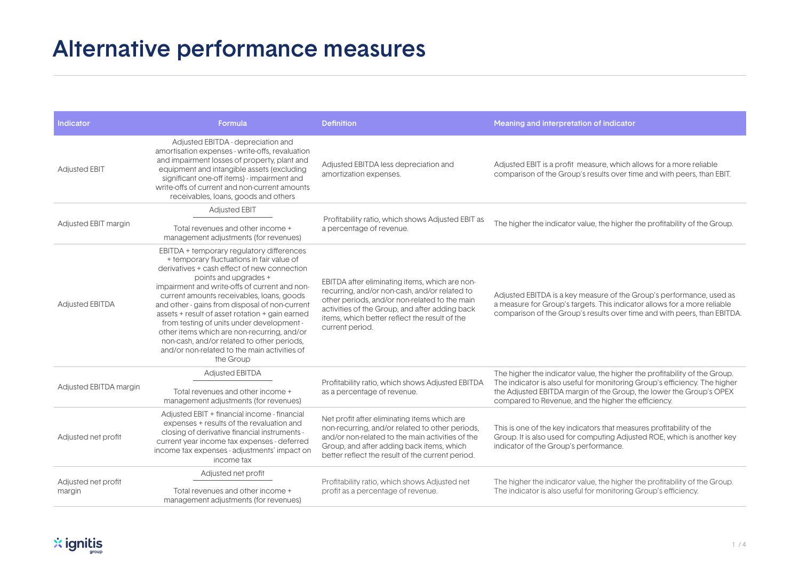## Alternative performance measures

| <b>Indicator</b>              | Formula                                                                                                                                                                                                                                                                                                                                                                                                                                                                                                                                                                  | <b>Definition</b>                                                                                                                                                                                                                                                      | Meaning and interpretation of indicator                                                                                                                                                                                                                                                |
|-------------------------------|--------------------------------------------------------------------------------------------------------------------------------------------------------------------------------------------------------------------------------------------------------------------------------------------------------------------------------------------------------------------------------------------------------------------------------------------------------------------------------------------------------------------------------------------------------------------------|------------------------------------------------------------------------------------------------------------------------------------------------------------------------------------------------------------------------------------------------------------------------|----------------------------------------------------------------------------------------------------------------------------------------------------------------------------------------------------------------------------------------------------------------------------------------|
| <b>Adjusted EBIT</b>          | Adjusted EBITDA - depreciation and<br>amortisation expenses - write-offs, revaluation<br>and impairment losses of property, plant and<br>equipment and intangible assets (excluding<br>significant one-off items) - impairment and<br>write-offs of current and non-current amounts<br>receivables, loans, goods and others                                                                                                                                                                                                                                              | Adjusted EBITDA less depreciation and<br>amortization expenses.                                                                                                                                                                                                        | Adjusted EBIT is a profit measure, which allows for a more reliable<br>comparison of the Group's results over time and with peers, than EBIT.                                                                                                                                          |
| Adjusted EBIT margin          | <b>Adjusted EBIT</b><br>Total revenues and other income +<br>management adjustments (for revenues)                                                                                                                                                                                                                                                                                                                                                                                                                                                                       | Profitability ratio, which shows Adjusted EBIT as<br>a percentage of revenue.                                                                                                                                                                                          | The higher the indicator value, the higher the profitability of the Group.                                                                                                                                                                                                             |
| <b>Adjusted EBITDA</b>        | EBITDA + temporary regulatory differences<br>+ temporary fluctuations in fair value of<br>derivatives + cash effect of new connection<br>points and upgrades +<br>impairment and write-offs of current and non-<br>current amounts receivables, loans, goods<br>and other - gains from disposal of non-current<br>assets + result of asset rotation + gain earned<br>from testing of units under development -<br>other items which are non-recurring, and/or<br>non-cash, and/or related to other periods,<br>and/or non-related to the main activities of<br>the Group | EBITDA after eliminating items, which are non-<br>recurring, and/or non-cash, and/or related to<br>other periods, and/or non-related to the main<br>activities of the Group, and after adding back<br>items, which better reflect the result of the<br>current period. | Adjusted EBITDA is a key measure of the Group's performance, used as<br>a measure for Group's targets. This indicator allows for a more reliable<br>comparison of the Group's results over time and with peers, than EBITDA.                                                           |
| Adjusted EBITDA margin        | <b>Adjusted EBITDA</b><br>Total revenues and other income +<br>management adjustments (for revenues)                                                                                                                                                                                                                                                                                                                                                                                                                                                                     | Profitability ratio, which shows Adjusted EBITDA<br>as a percentage of revenue.                                                                                                                                                                                        | The higher the indicator value, the higher the profitability of the Group.<br>The indicator is also useful for monitoring Group's efficiency. The higher<br>the Adjusted EBITDA margin of the Group, the lower the Group's OPEX<br>compared to Revenue, and the higher the efficiency. |
| Adjusted net profit           | Adjusted EBIT + financial income - financial<br>expenses + results of the revaluation and<br>closing of derivative financial instruments -<br>current year income tax expenses - deferred<br>income tax expenses - adjustments' impact on<br>income tax                                                                                                                                                                                                                                                                                                                  | Net profit after eliminating items which are<br>non-recurring, and/or related to other periods,<br>and/or non-related to the main activities of the<br>Group, and after adding back items, which<br>better reflect the result of the current period.                   | This is one of the key indicators that measures profitability of the<br>Group. It is also used for computing Adjusted ROE, which is another key<br>indicator of the Group's performance.                                                                                               |
| Adjusted net profit<br>margin | Adjusted net profit<br>Total revenues and other income +<br>management adjustments (for revenues)                                                                                                                                                                                                                                                                                                                                                                                                                                                                        | Profitability ratio, which shows Adjusted net<br>profit as a percentage of revenue.                                                                                                                                                                                    | The higher the indicator value, the higher the profitability of the Group.<br>The indicator is also useful for monitoring Group's efficiency.                                                                                                                                          |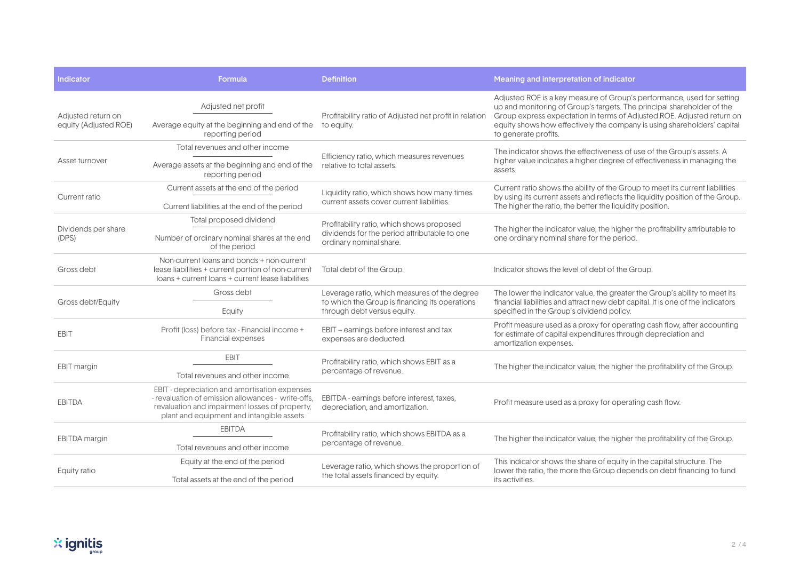| <b>Indicator</b>                            | Formula                                                                                                                                                                                            | <b>Definition</b>                                                                                                             | Meaning and interpretation of indicator                                                                                                                                                                                                                                                                                       |
|---------------------------------------------|----------------------------------------------------------------------------------------------------------------------------------------------------------------------------------------------------|-------------------------------------------------------------------------------------------------------------------------------|-------------------------------------------------------------------------------------------------------------------------------------------------------------------------------------------------------------------------------------------------------------------------------------------------------------------------------|
| Adiusted return on<br>equity (Adjusted ROE) | Adjusted net profit                                                                                                                                                                                | Profitability ratio of Adjusted net profit in relation<br>to equity.                                                          | Adjusted ROE is a key measure of Group's performance, used for setting<br>up and monitoring of Group's targets. The principal shareholder of the<br>Group express expectation in terms of Adjusted ROE. Adjusted return on<br>equity shows how effectively the company is using shareholders' capital<br>to generate profits. |
|                                             | Average equity at the beginning and end of the<br>reporting period                                                                                                                                 |                                                                                                                               |                                                                                                                                                                                                                                                                                                                               |
| Asset turnover                              | Total revenues and other income                                                                                                                                                                    | Efficiency ratio, which measures revenues<br>relative to total assets.                                                        | The indicator shows the effectiveness of use of the Group's assets. A<br>higher value indicates a higher degree of effectiveness in managing the<br>assets.                                                                                                                                                                   |
|                                             | Average assets at the beginning and end of the<br>reporting period                                                                                                                                 |                                                                                                                               |                                                                                                                                                                                                                                                                                                                               |
| Current ratio                               | Current assets at the end of the period                                                                                                                                                            | Liquidity ratio, which shows how many times<br>current assets cover current liabilities.                                      | Current ratio shows the ability of the Group to meet its current liabilities<br>by using its current assets and reflects the liquidity position of the Group.<br>The higher the ratio, the better the liquidity position.                                                                                                     |
|                                             | Current liabilities at the end of the period                                                                                                                                                       |                                                                                                                               |                                                                                                                                                                                                                                                                                                                               |
| Dividends per share<br>(DPS)                | Total proposed dividend                                                                                                                                                                            | Profitability ratio, which shows proposed<br>dividends for the period attributable to one<br>ordinary nominal share.          | The higher the indicator value, the higher the profitability attributable to<br>one ordinary nominal share for the period.                                                                                                                                                                                                    |
|                                             | Number of ordinary nominal shares at the end<br>of the period                                                                                                                                      |                                                                                                                               |                                                                                                                                                                                                                                                                                                                               |
| Gross debt                                  | Non-current loans and bonds + non-current<br>lease liabilities + current portion of non-current<br>loans + current loans + current lease liabilities                                               | Total debt of the Group.                                                                                                      | Indicator shows the level of debt of the Group.                                                                                                                                                                                                                                                                               |
| Gross debt/Equity                           | Gross debt                                                                                                                                                                                         | Leverage ratio, which measures of the degree<br>to which the Group is financing its operations<br>through debt versus equity. | The lower the indicator value, the greater the Group's ability to meet its<br>financial liabilities and attract new debt capital. It is one of the indicators<br>specified in the Group's dividend policy.                                                                                                                    |
|                                             | Equity                                                                                                                                                                                             |                                                                                                                               |                                                                                                                                                                                                                                                                                                                               |
| <b>EBIT</b>                                 | Profit (loss) before tax - Financial income +<br><b>Financial expenses</b>                                                                                                                         | EBIT – earnings before interest and tax<br>expenses are deducted.                                                             | Profit measure used as a proxy for operating cash flow, after accounting<br>for estimate of capital expenditures through depreciation and<br>amortization expenses.                                                                                                                                                           |
| <b>EBIT</b> margin                          | <b>EBIT</b>                                                                                                                                                                                        | Profitability ratio, which shows EBIT as a<br>percentage of revenue.                                                          | The higher the indicator value, the higher the profitability of the Group.                                                                                                                                                                                                                                                    |
|                                             | Total revenues and other income                                                                                                                                                                    |                                                                                                                               |                                                                                                                                                                                                                                                                                                                               |
| <b>EBITDA</b>                               | EBIT - depreciation and amortisation expenses<br>- revaluation of emission allowances - write-offs,<br>revaluation and impairment losses of property,<br>plant and equipment and intangible assets | EBITDA - earnings before interest, taxes,<br>depreciation, and amortization.                                                  | Profit measure used as a proxy for operating cash flow.                                                                                                                                                                                                                                                                       |
| EBITDA margin                               | <b>EBITDA</b>                                                                                                                                                                                      | Profitability ratio, which shows EBITDA as a<br>percentage of revenue.                                                        | The higher the indicator value, the higher the profitability of the Group.                                                                                                                                                                                                                                                    |
|                                             | Total revenues and other income                                                                                                                                                                    |                                                                                                                               |                                                                                                                                                                                                                                                                                                                               |
| Equity ratio                                | Equity at the end of the period                                                                                                                                                                    | Leverage ratio, which shows the proportion of<br>the total assets financed by equity.                                         | This indicator shows the share of equity in the capital structure. The<br>lower the ratio, the more the Group depends on debt financing to fund<br>its activities.                                                                                                                                                            |
|                                             | Total assets at the end of the period                                                                                                                                                              |                                                                                                                               |                                                                                                                                                                                                                                                                                                                               |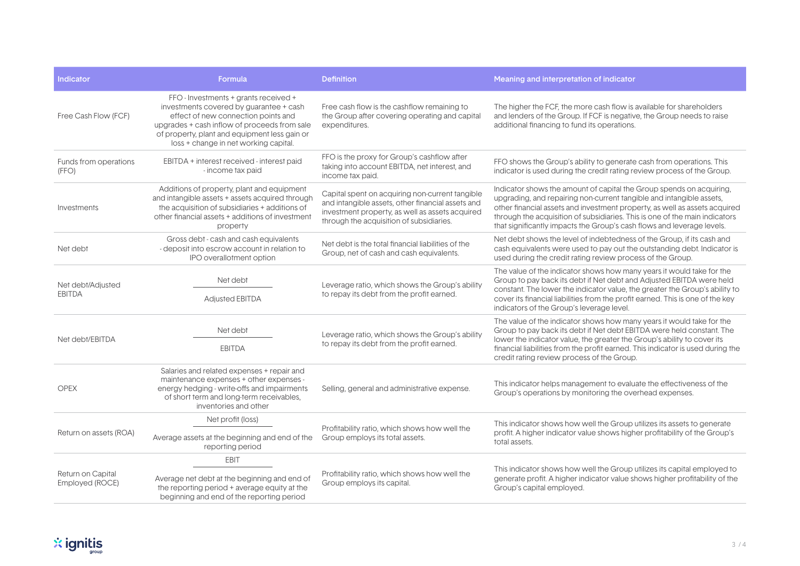| <b>Indicator</b>                     | Formula                                                                                                                                                                                                                                                           | <b>Definition</b>                                                                                                                                                                                   | Meaning and interpretation of indicator                                                                                                                                                                                                                                                                                                                                             |
|--------------------------------------|-------------------------------------------------------------------------------------------------------------------------------------------------------------------------------------------------------------------------------------------------------------------|-----------------------------------------------------------------------------------------------------------------------------------------------------------------------------------------------------|-------------------------------------------------------------------------------------------------------------------------------------------------------------------------------------------------------------------------------------------------------------------------------------------------------------------------------------------------------------------------------------|
| Free Cash Flow (FCF)                 | FFO - Investments + grants received +<br>investments covered by guarantee + cash<br>effect of new connection points and<br>upgrades + cash inflow of proceeds from sale<br>of property, plant and equipment less gain or<br>loss + change in net working capital. | Free cash flow is the cashflow remaining to<br>the Group after covering operating and capital<br>expenditures.                                                                                      | The higher the FCF, the more cash flow is available for shareholders<br>and lenders of the Group. If FCF is negative, the Group needs to raise<br>additional financing to fund its operations.                                                                                                                                                                                      |
| Funds from operations<br>(FFO)       | EBITDA + interest received - interest paid<br>- income tax paid                                                                                                                                                                                                   | FFO is the proxy for Group's cashflow after<br>taking into account EBITDA, net interest, and<br>income tax paid.                                                                                    | FFO shows the Group's ability to generate cash from operations. This<br>indicator is used during the credit rating review process of the Group.                                                                                                                                                                                                                                     |
| Investments                          | Additions of property, plant and equipment<br>and intangible assets + assets acquired through<br>the acquisition of subsidiaries + additions of<br>other financial assets + additions of investment<br>property                                                   | Capital spent on acquiring non-current tangible<br>and intangible assets, other financial assets and<br>investment property, as well as assets acquired<br>through the acquisition of subsidiaries. | Indicator shows the amount of capital the Group spends on acquiring,<br>upgrading, and repairing non-current tangible and intangible assets,<br>other financial assets and investment property, as well as assets acquired<br>through the acquisition of subsidiaries. This is one of the main indicators<br>that significantly impacts the Group's cash flows and leverage levels. |
| Net debt                             | Gross debt - cash and cash equivalents<br>- deposit into escrow account in relation to<br>IPO overallotment option                                                                                                                                                | Net debt is the total financial liabilities of the<br>Group, net of cash and cash equivalents.                                                                                                      | Net debt shows the level of indebtedness of the Group, if its cash and<br>cash equivalents were used to pay out the outstanding debt. Indicator is<br>used during the credit rating review process of the Group.                                                                                                                                                                    |
| Net debt/Adjusted<br><b>EBITDA</b>   | Net debt<br><b>Adjusted EBITDA</b>                                                                                                                                                                                                                                | Leverage ratio, which shows the Group's ability<br>to repay its debt from the profit earned.                                                                                                        | The value of the indicator shows how many years it would take for the<br>Group to pay back its debt if Net debt and Adjusted EBITDA were held<br>constant. The lower the indicator value, the greater the Group's ability to<br>cover its financial liabilities from the profit earned. This is one of the key<br>indicators of the Group's leverage level.                         |
| Net debt/EBITDA                      | Net debt<br><b>EBITDA</b>                                                                                                                                                                                                                                         | Leverage ratio, which shows the Group's ability<br>to repay its debt from the profit earned.                                                                                                        | The value of the indicator shows how many years it would take for the<br>Group to pay back its debt if Net debt EBITDA were held constant. The<br>lower the indicator value, the greater the Group's ability to cover its<br>financial liabilities from the profit earned. This indicator is used during the<br>credit rating review process of the Group.                          |
| <b>OPEX</b>                          | Salaries and related expenses + repair and<br>maintenance expenses + other expenses -<br>energy hedging - write-offs and impairments<br>of short term and long-term receivables,<br>inventories and other                                                         | Selling, general and administrative expense.                                                                                                                                                        | This indicator helps management to evaluate the effectiveness of the<br>Group's operations by monitoring the overhead expenses.                                                                                                                                                                                                                                                     |
| Return on assets (ROA)               | Net profit (loss)                                                                                                                                                                                                                                                 | Profitability ratio, which shows how well the<br>Group employs its total assets.                                                                                                                    | This indicator shows how well the Group utilizes its assets to generate<br>profit. A higher indicator value shows higher profitability of the Group's<br>total assets.                                                                                                                                                                                                              |
|                                      | Average assets at the beginning and end of the<br>reporting period                                                                                                                                                                                                |                                                                                                                                                                                                     |                                                                                                                                                                                                                                                                                                                                                                                     |
| Return on Capital<br>Employed (ROCE) | <b>EBIT</b>                                                                                                                                                                                                                                                       | Profitability ratio, which shows how well the<br>Group employs its capital.                                                                                                                         | This indicator shows how well the Group utilizes its capital employed to<br>generate profit. A higher indicator value shows higher profitability of the<br>Group's capital employed.                                                                                                                                                                                                |
|                                      | Average net debt at the beginning and end of<br>the reporting period + average equity at the<br>beginning and end of the reporting period                                                                                                                         |                                                                                                                                                                                                     |                                                                                                                                                                                                                                                                                                                                                                                     |